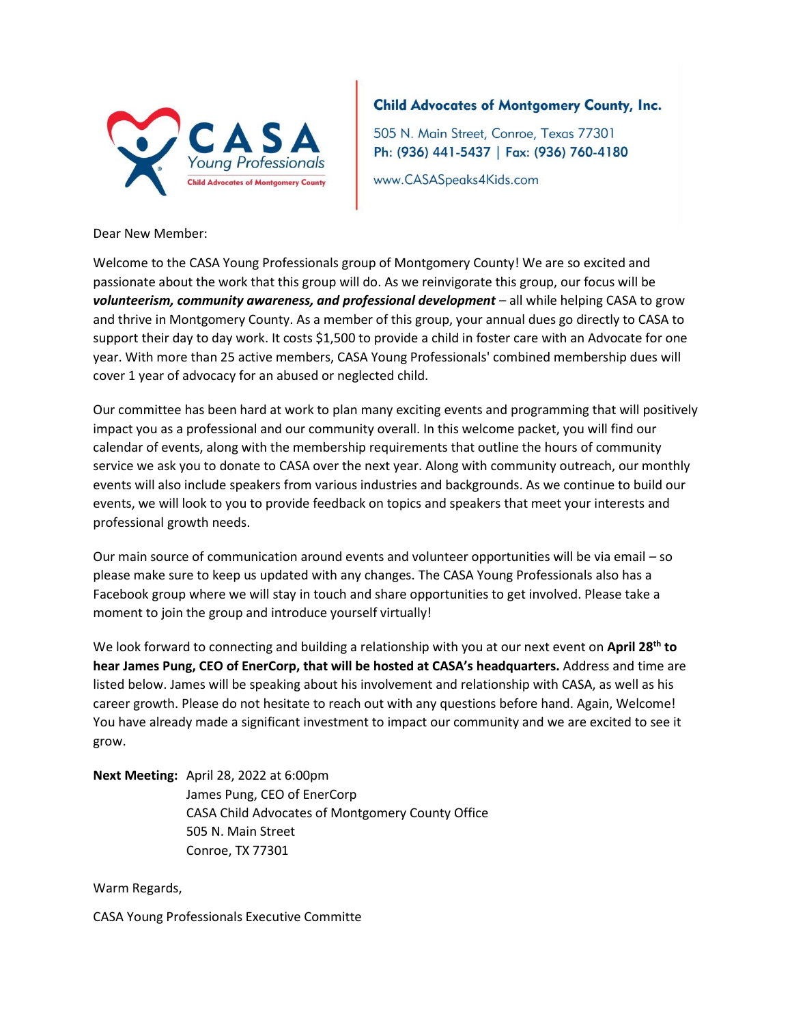

### **Child Advocates of Montgomery County, Inc.**

505 N. Main Street, Conroe, Texas 77301 Ph: (936) 441-5437 | Fax: (936) 760-4180

www.CASASpeaks4Kids.com

#### Dear New Member:

Welcome to the CASA Young Professionals group of Montgomery County! We are so excited and passionate about the work that this group will do. As we reinvigorate this group, our focus will be *volunteerism, community awareness, and professional development* – all while helping CASA to grow and thrive in Montgomery County. As a member of this group, your annual dues go directly to CASA to support their day to day work. It costs \$1,500 to provide a child in foster care with an Advocate for one year. With more than 25 active members, CASA Young Professionals' combined membership dues will cover 1 year of advocacy for an abused or neglected child.

Our committee has been hard at work to plan many exciting events and programming that will positively impact you as a professional and our community overall. In this welcome packet, you will find our calendar of events, along with the membership requirements that outline the hours of community service we ask you to donate to CASA over the next year. Along with community outreach, our monthly events will also include speakers from various industries and backgrounds. As we continue to build our events, we will look to you to provide feedback on topics and speakers that meet your interests and professional growth needs.

Our main source of communication around events and volunteer opportunities will be via email – so please make sure to keep us updated with any changes. The CASA Young Professionals also has a Facebook group where we will stay in touch and share opportunities to get involved. Please take a moment to join the group and introduce yourself virtually!

We look forward to connecting and building a relationship with you at our next event on **April 28th to hear James Pung, CEO of EnerCorp, that will be hosted at CASA's headquarters.** Address and time are listed below. James will be speaking about his involvement and relationship with CASA, as well as his career growth. Please do not hesitate to reach out with any questions before hand. Again, Welcome! You have already made a significant investment to impact our community and we are excited to see it grow.

**Next Meeting:** April 28, 2022 at 6:00pm James Pung, CEO of EnerCorp CASA Child Advocates of Montgomery County Office 505 N. Main Street Conroe, TX 77301

Warm Regards,

CASA Young Professionals Executive Committe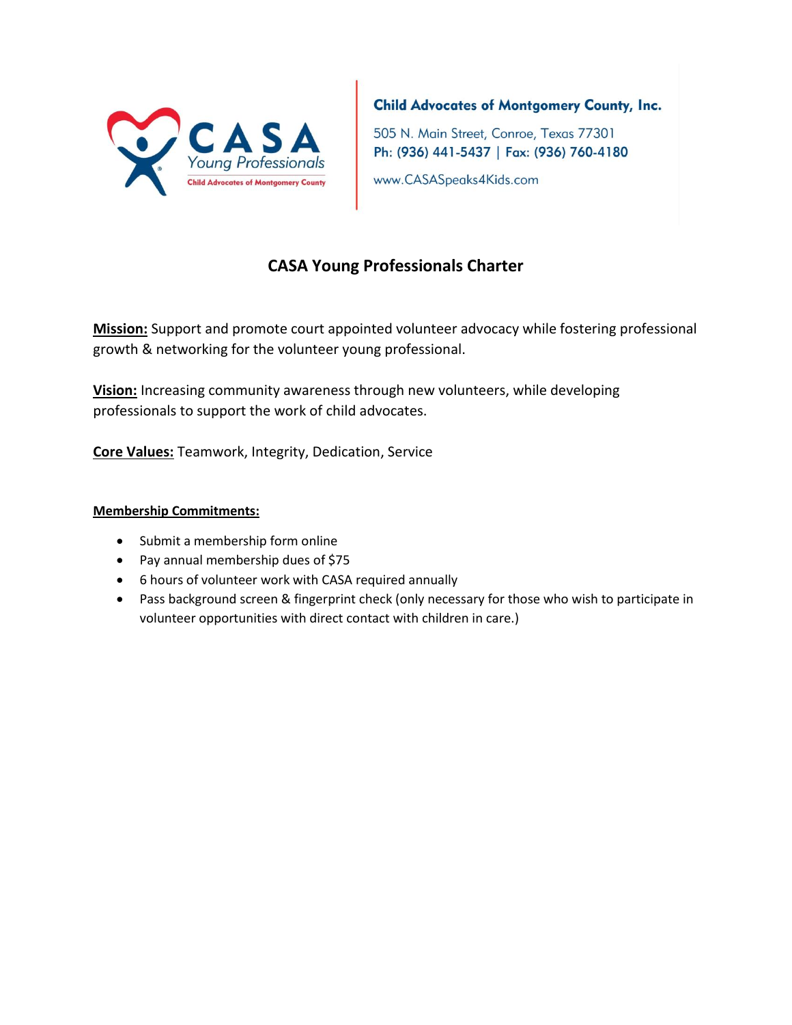

**Child Advocates of Montgomery County, Inc.** 

505 N. Main Street, Conroe, Texas 77301 Ph: (936) 441-5437 | Fax: (936) 760-4180

www.CASASpeaks4Kids.com

# **CASA Young Professionals Charter**

**Mission:** Support and promote court appointed volunteer advocacy while fostering professional growth & networking for the volunteer young professional.

**Vision:** Increasing community awareness through new volunteers, while developing professionals to support the work of child advocates.

**Core Values:** Teamwork, Integrity, Dedication, Service

#### **Membership Commitments:**

- Submit a membership form online
- Pay annual membership dues of \$75
- 6 hours of volunteer work with CASA required annually
- Pass background screen & fingerprint check (only necessary for those who wish to participate in volunteer opportunities with direct contact with children in care.)